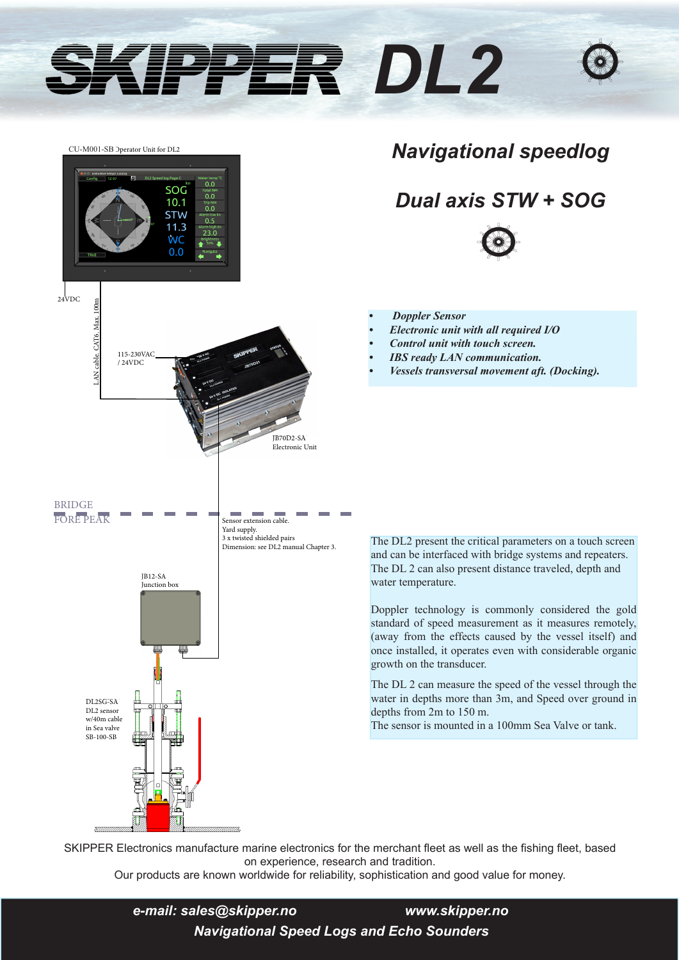# *DL2*



### *Navigational speedlog*

## *Dual axis STW + SOG*



- **•** *Doppler Sensor*
- *• Electronic unit with all required I/O*
- *• Control unit with touch screen.*
- *• IBS ready LAN communication.*
- *• Vessels transversal movement aft. (Docking).*

The DL2 present the critical parameters on a touch screen and can be interfaced with bridge systems and repeaters. The DL 2 can also present distance traveled, depth and water temperature.

Doppler technology is commonly considered the gold standard of speed measurement as it measures remotely, (away from the effects caused by the vessel itself) and once installed, it operates even with considerable organic growth on the transducer.

The DL 2 can measure the speed of the vessel through the water in depths more than 3m, and Speed over ground in depths from 2m to 150 m.

The sensor is mounted in a 100mm Sea Valve or tank.

SKIPPER Electronics manufacture marine electronics for the merchant fleet as well as the fishing fleet, based on experience, research and tradition.

Our products are known worldwide for reliability, sophistication and good value for money.